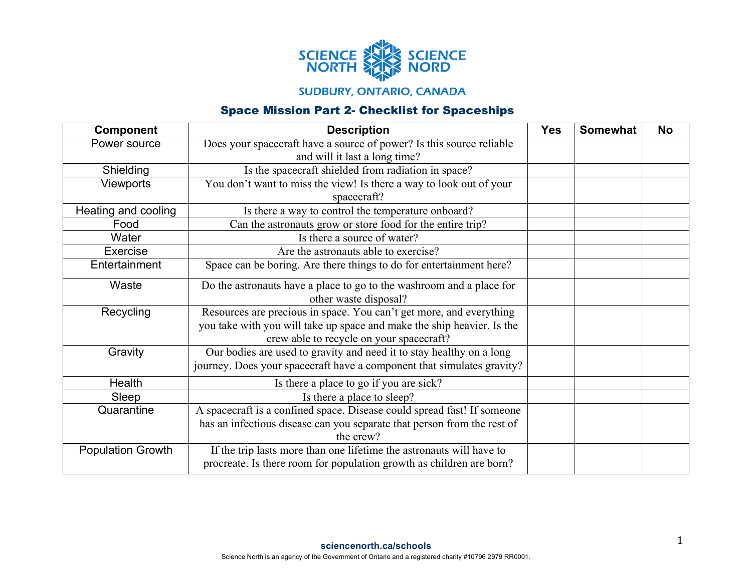

## **SUDBURY, ONTARIO, CANADA**

## Space Mission Part 2- Checklist for Spaceships

| <b>Component</b>         | <b>Description</b>                                                                                                | <b>Yes</b> | <b>Somewhat</b> | <b>No</b> |
|--------------------------|-------------------------------------------------------------------------------------------------------------------|------------|-----------------|-----------|
| Power source             | Does your spacecraft have a source of power? Is this source reliable                                              |            |                 |           |
|                          | and will it last a long time?                                                                                     |            |                 |           |
| Shielding                | Is the spacecraft shielded from radiation in space?                                                               |            |                 |           |
| <b>Viewports</b>         | You don't want to miss the view! Is there a way to look out of your                                               |            |                 |           |
|                          | spacecraft?                                                                                                       |            |                 |           |
| Heating and cooling      | Is there a way to control the temperature onboard?                                                                |            |                 |           |
| Food                     | Can the astronauts grow or store food for the entire trip?                                                        |            |                 |           |
| Water                    | Is there a source of water?                                                                                       |            |                 |           |
| Exercise                 | Are the astronauts able to exercise?                                                                              |            |                 |           |
| Entertainment            | Space can be boring. Are there things to do for entertainment here?                                               |            |                 |           |
| Waste                    | Do the astronauts have a place to go to the washroom and a place for                                              |            |                 |           |
|                          | other waste disposal?                                                                                             |            |                 |           |
| Recycling                | Resources are precious in space. You can't get more, and everything                                               |            |                 |           |
|                          | you take with you will take up space and make the ship heavier. Is the                                            |            |                 |           |
|                          | crew able to recycle on your spacecraft?                                                                          |            |                 |           |
| Gravity                  | Our bodies are used to gravity and need it to stay healthy on a long                                              |            |                 |           |
|                          |                                                                                                                   |            |                 |           |
| Health                   |                                                                                                                   |            |                 |           |
| Sleep                    | Is there a place to sleep?                                                                                        |            |                 |           |
| Quarantine               | A spacecraft is a confined space. Disease could spread fast! If someone                                           |            |                 |           |
|                          | has an infectious disease can you separate that person from the rest of                                           |            |                 |           |
|                          | the crew?                                                                                                         |            |                 |           |
| <b>Population Growth</b> | If the trip lasts more than one lifetime the astronauts will have to                                              |            |                 |           |
|                          | procreate. Is there room for population growth as children are born?                                              |            |                 |           |
|                          | journey. Does your spacecraft have a component that simulates gravity?<br>Is there a place to go if you are sick? |            |                 |           |